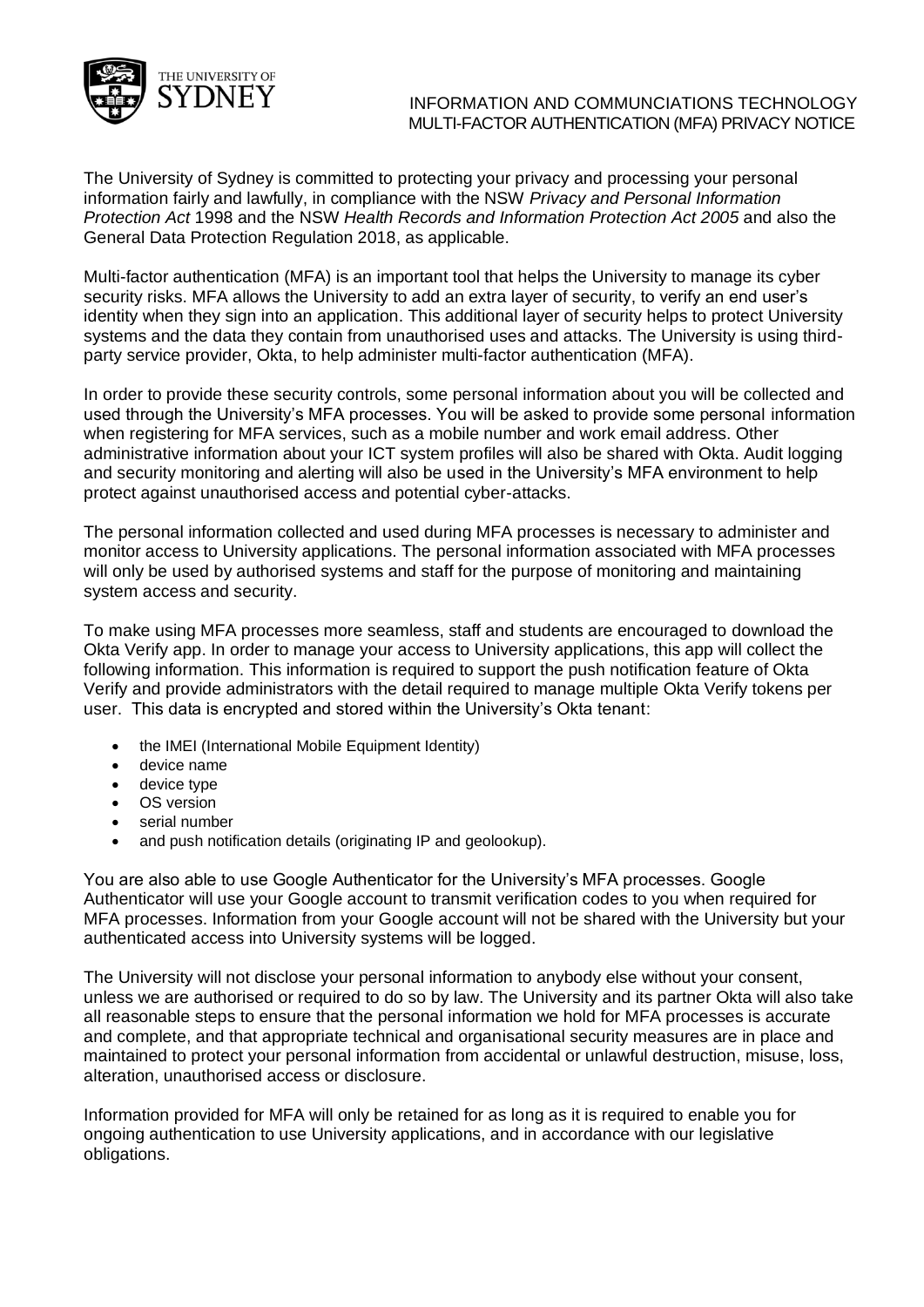

## INFORMATION AND COMMUNCIATIONS TECHNOLOGY MULTI-FACTOR AUTHENTICATION (MFA) PRIVACY NOTICE

The University of Sydney is committed to protecting your privacy and processing your personal information fairly and lawfully, in compliance with the NSW *Privacy and Personal Information Protection Act* 1998 and the NSW *Health Records and Information Protection Act 2005* and also the General Data Protection Regulation 2018, as applicable.

Multi-factor authentication (MFA) is an important tool that helps the University to manage its cyber security risks. MFA allows the University to add an extra layer of security, to verify an end user's identity when they sign into an application. This additional layer of security helps to protect University systems and the data they contain from unauthorised uses and attacks. The University is using thirdparty service provider, Okta, to help administer multi-factor authentication (MFA).

In order to provide these security controls, some personal information about you will be collected and used through the University's MFA processes. You will be asked to provide some personal information when registering for MFA services, such as a mobile number and work email address. Other administrative information about your ICT system profiles will also be shared with Okta. Audit logging and security monitoring and alerting will also be used in the University's MFA environment to help protect against unauthorised access and potential cyber-attacks.

The personal information collected and used during MFA processes is necessary to administer and monitor access to University applications. The personal information associated with MFA processes will only be used by authorised systems and staff for the purpose of monitoring and maintaining system access and security.

To make using MFA processes more seamless, staff and students are encouraged to download the Okta Verify app. In order to manage your access to University applications, this app will collect the following information. This information is required to support the push notification feature of Okta Verify and provide administrators with the detail required to manage multiple Okta Verify tokens per user. This data is encrypted and stored within the University's Okta tenant:

- the IMEI (International Mobile Equipment Identity)
- device name
- device type
- OS version
- serial number
- and push notification details (originating IP and geolookup).

You are also able to use Google Authenticator for the University's MFA processes. Google Authenticator will use your Google account to transmit verification codes to you when required for MFA processes. Information from your Google account will not be shared with the University but your authenticated access into University systems will be logged.

The University will not disclose your personal information to anybody else without your consent, unless we are authorised or required to do so by law. The University and its partner Okta will also take all reasonable steps to ensure that the personal information we hold for MFA processes is accurate and complete, and that appropriate technical and organisational security measures are in place and maintained to protect your personal information from accidental or unlawful destruction, misuse, loss, alteration, unauthorised access or disclosure.

Information provided for MFA will only be retained for as long as it is required to enable you for ongoing authentication to use University applications, and in accordance with our legislative obligations.